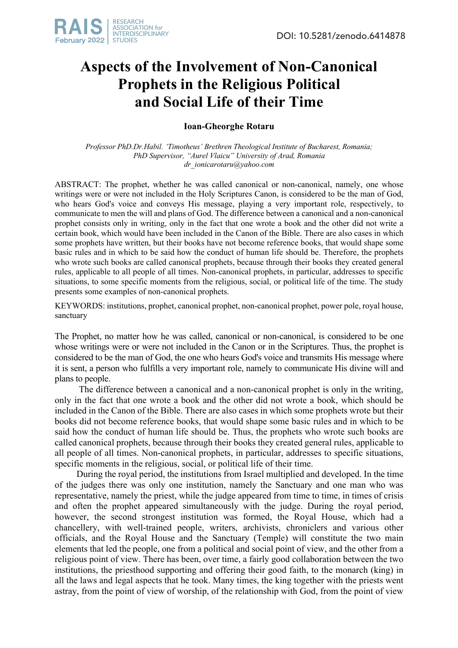

## **Aspects of the Involvement of Non-Canonical Prophets in the Religious Political and Social Life of their Time**

**Ioan-Gheorghe Rotaru**

*Professor PhD.Dr.Habil. 'Timotheus' Brethren Theological Institute of Bucharest, Romania; PhD Supervisor, "Aurel Vlaicu" University of Arad, Romania dr\_ionicarotaru@yahoo.com*

ABSTRACT: The prophet, whether he was called canonical or non-canonical, namely, one whose writings were or were not included in the Holy Scriptures Canon, is considered to be the man of God, who hears God's voice and conveys His message, playing a very important role, respectively, to communicate to men the will and plans of God. The difference between a canonical and a non-canonical prophet consists only in writing, only in the fact that one wrote a book and the other did not write a certain book, which would have been included in the Canon of the Bible. There are also cases in which some prophets have written, but their books have not become reference books, that would shape some basic rules and in which to be said how the conduct of human life should be. Therefore, the prophets who wrote such books are called canonical prophets, because through their books they created general rules, applicable to all people of all times. Non-canonical prophets, in particular, addresses to specific situations, to some specific moments from the religious, social, or political life of the time. The study presents some examples of non-canonical prophets.

KEYWORDS: institutions, prophet, canonical prophet, non-canonical prophet, power pole, royal house, sanctuary

The Prophet, no matter how he was called, canonical or non-canonical, is considered to be one whose writings were or were not included in the Canon or in the Scriptures. Thus, the prophet is considered to be the man of God, the one who hears God's voice and transmits His message where it is sent, a person who fulfills a very important role, namely to communicate His divine will and plans to people.

The difference between a canonical and a non-canonical prophet is only in the writing, only in the fact that one wrote a book and the other did not wrote a book, which should be included in the Canon of the Bible. There are also cases in which some prophets wrote but their books did not become reference books, that would shape some basic rules and in which to be said how the conduct of human life should be. Thus, the prophets who wrote such books are called canonical prophets, because through their books they created general rules, applicable to all people of all times. Non-canonical prophets, in particular, addresses to specific situations, specific moments in the religious, social, or political life of their time.

During the royal period, the institutions from Israel multiplied and developed. In the time of the judges there was only one institution, namely the Sanctuary and one man who was representative, namely the priest, while the judge appeared from time to time, in times of crisis and often the prophet appeared simultaneously with the judge. During the royal period, however, the second strongest institution was formed, the Royal House, which had a chancellery, with well-trained people, writers, archivists, chroniclers and various other officials, and the Royal House and the Sanctuary (Temple) will constitute the two main elements that led the people, one from a political and social point of view, and the other from a religious point of view. There has been, over time, a fairly good collaboration between the two institutions, the priesthood supporting and offering their good faith, to the monarch (king) in all the laws and legal aspects that he took. Many times, the king together with the priests went astray, from the point of view of worship, of the relationship with God, from the point of view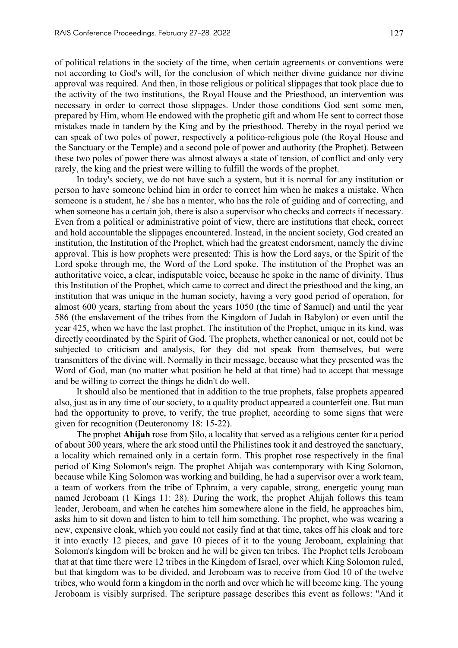of political relations in the society of the time, when certain agreements or conventions were not according to God's will, for the conclusion of which neither divine guidance nor divine approval was required. And then, in those religious or political slippages that took place due to the activity of the two institutions, the Royal House and the Priesthood, an intervention was necessary in order to correct those slippages. Under those conditions God sent some men, prepared by Him, whom He endowed with the prophetic gift and whom He sent to correct those mistakes made in tandem by the King and by the priesthood. Thereby in the royal period we can speak of two poles of power, respectively a politico-religious pole (the Royal House and the Sanctuary or the Temple) and a second pole of power and authority (the Prophet). Between these two poles of power there was almost always a state of tension, of conflict and only very rarely, the king and the priest were willing to fulfill the words of the prophet.

In today's society, we do not have such a system, but it is normal for any institution or person to have someone behind him in order to correct him when he makes a mistake. When someone is a student, he / she has a mentor, who has the role of guiding and of correcting, and when someone has a certain job, there is also a supervisor who checks and corrects if necessary. Even from a political or administrative point of view, there are institutions that check, correct and hold accountable the slippages encountered. Instead, in the ancient society, God created an institution, the Institution of the Prophet, which had the greatest endorsment, namely the divine approval. This is how prophets were presented: This is how the Lord says, or the Spirit of the Lord spoke through me, the Word of the Lord spoke. The institution of the Prophet was an authoritative voice, a clear, indisputable voice, because he spoke in the name of divinity. Thus this Institution of the Prophet, which came to correct and direct the priesthood and the king, an institution that was unique in the human society, having a very good period of operation, for almost 600 years, starting from about the years 1050 (the time of Samuel) and until the year 586 (the enslavement of the tribes from the Kingdom of Judah in Babylon) or even until the year 425, when we have the last prophet. The institution of the Prophet, unique in its kind, was directly coordinated by the Spirit of God. The prophets, whether canonical or not, could not be subjected to criticism and analysis, for they did not speak from themselves, but were transmitters of the divine will. Normally in their message, because what they presented was the Word of God, man (no matter what position he held at that time) had to accept that message and be willing to correct the things he didn't do well.

It should also be mentioned that in addition to the true prophets, false prophets appeared also, just as in any time of our society, to a quality product appeared a counterfeit one. But man had the opportunity to prove, to verify, the true prophet, according to some signs that were given for recognition (Deuteronomy 18: 15-22).

The prophet **Ahijah** rose from Șilo, a locality that served as a religious center for a period of about 300 years, where the ark stood until the Philistines took it and destroyed the sanctuary, a locality which remained only in a certain form. This prophet rose respectively in the final period of King Solomon's reign. The prophet Ahijah was contemporary with King Solomon, because while King Solomon was working and building, he had a supervisor over a work team, a team of workers from the tribe of Ephraim, a very capable, strong, energetic young man named Jeroboam (1 Kings 11: 28). During the work, the prophet Ahijah follows this team leader, Jeroboam, and when he catches him somewhere alone in the field, he approaches him, asks him to sit down and listen to him to tell him something. The prophet, who was wearing a new, expensive cloak, which you could not easily find at that time, takes off his cloak and tore it into exactly 12 pieces, and gave 10 pieces of it to the young Jeroboam, explaining that Solomon's kingdom will be broken and he will be given ten tribes. The Prophet tells Jeroboam that at that time there were 12 tribes in the Kingdom of Israel, over which King Solomon ruled, but that kingdom was to be divided, and Jeroboam was to receive from God 10 of the twelve tribes, who would form a kingdom in the north and over which he will become king. The young Jeroboam is visibly surprised. The scripture passage describes this event as follows: "And it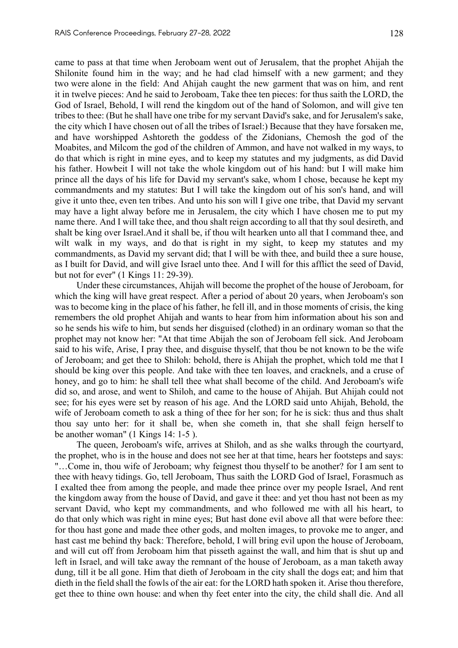came to pass at that time when Jeroboam went out of Jerusalem, that the prophet Ahijah the Shilonite found him in the way; and he had clad himself with a new garment; and they two were alone in the field: And Ahijah caught the new garment that was on him, and rent it in twelve pieces: And he said to Jeroboam, Take thee ten pieces: for thus saith the LORD, the God of Israel, Behold, I will rend the kingdom out of the hand of Solomon, and will give ten tribes to thee: (But he shall have one tribe for my servant David's sake, and for Jerusalem's sake, the city which I have chosen out of all the tribes of Israel:) Because that they have forsaken me, and have worshipped Ashtoreth the goddess of the Zidonians, Chemosh the god of the Moabites, and Milcom the god of the children of Ammon, and have not walked in my ways, to do that which is right in mine eyes, and to keep my statutes and my judgments, as did David his father. Howbeit I will not take the whole kingdom out of his hand: but I will make him prince all the days of his life for David my servant's sake, whom I chose, because he kept my commandments and my statutes: But I will take the kingdom out of his son's hand, and will give it unto thee, even ten tribes. And unto his son will I give one tribe, that David my servant may have a light alway before me in Jerusalem, the city which I have chosen me to put my name there. And I will take thee, and thou shalt reign according to all that thy soul desireth, and shalt be king over Israel.And it shall be, if thou wilt hearken unto all that I command thee, and wilt walk in my ways, and do that is right in my sight, to keep my statutes and my commandments, as David my servant did; that I will be with thee, and build thee a sure house, as I built for David, and will give Israel unto thee. And I will for this afflict the seed of David, but not for ever" (1 Kings 11: 29-39).

Under these circumstances, Ahijah will become the prophet of the house of Jeroboam, for which the king will have great respect. After a period of about 20 years, when Jeroboam's son was to become king in the place of his father, he fell ill, and in those moments of crisis, the king remembers the old prophet Ahijah and wants to hear from him information about his son and so he sends his wife to him, but sends her disguised (clothed) in an ordinary woman so that the prophet may not know her: "At that time Abijah the son of Jeroboam fell sick. And Jeroboam said to his wife, Arise, I pray thee, and disguise thyself, that thou be not known to be the wife of Jeroboam; and get thee to Shiloh: behold, there is Ahijah the prophet, which told me that I should be king over this people. And take with thee ten loaves, and cracknels, and a cruse of honey, and go to him: he shall tell thee what shall become of the child. And Jeroboam's wife did so, and arose, and went to Shiloh, and came to the house of Ahijah. But Ahijah could not see; for his eyes were set by reason of his age. And the LORD said unto Ahijah, Behold, the wife of Jeroboam cometh to ask a thing of thee for her son; for he is sick: thus and thus shalt thou say unto her: for it shall be, when she cometh in, that she shall feign herself to be another woman" (1 Kings 14: 1-5 ).

The queen, Jeroboam's wife, arrives at Shiloh, and as she walks through the courtyard, the prophet, who is in the house and does not see her at that time, hears her footsteps and says: "…Come in, thou wife of Jeroboam; why feignest thou thyself to be another? for I am sent to thee with heavy tidings. Go, tell Jeroboam, Thus saith the LORD God of Israel, Forasmuch as I exalted thee from among the people, and made thee prince over my people Israel, And rent the kingdom away from the house of David, and gave it thee: and yet thou hast not been as my servant David, who kept my commandments, and who followed me with all his heart, to do that only which was right in mine eyes; But hast done evil above all that were before thee: for thou hast gone and made thee other gods, and molten images, to provoke me to anger, and hast cast me behind thy back: Therefore, behold, I will bring evil upon the house of Jeroboam, and will cut off from Jeroboam him that pisseth against the wall, and him that is shut up and left in Israel, and will take away the remnant of the house of Jeroboam, as a man taketh away dung, till it be all gone. Him that dieth of Jeroboam in the city shall the dogs eat; and him that dieth in the field shall the fowls of the air eat: for the LORD hath spoken it. Arise thou therefore, get thee to thine own house: and when thy feet enter into the city, the child shall die. And all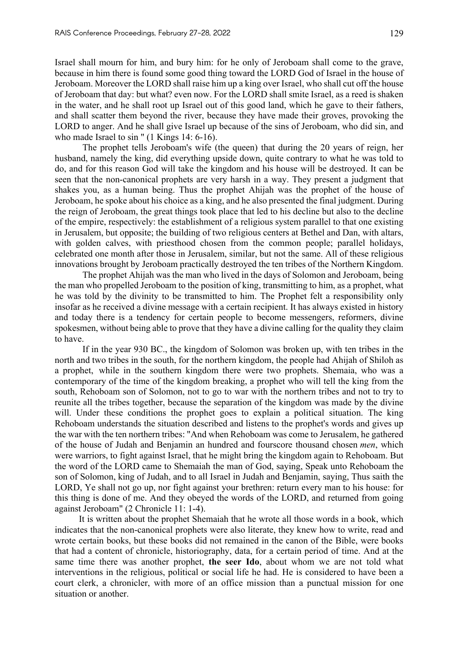Israel shall mourn for him, and bury him: for he only of Jeroboam shall come to the grave, because in him there is found some good thing toward the LORD God of Israel in the house of Jeroboam. Moreover the LORD shall raise him up a king over Israel, who shall cut off the house of Jeroboam that day: but what? even now. For the LORD shall smite Israel, as a reed is shaken in the water, and he shall root up Israel out of this good land, which he gave to their fathers, and shall scatter them beyond the river, because they have made their groves, provoking the LORD to anger. And he shall give Israel up because of the sins of Jeroboam, who did sin, and who made Israel to sin " (1 Kings 14: 6-16).

The prophet tells Jeroboam's wife (the queen) that during the 20 years of reign, her husband, namely the king, did everything upside down, quite contrary to what he was told to do, and for this reason God will take the kingdom and his house will be destroyed. It can be seen that the non-canonical prophets are very harsh in a way. They present a judgment that shakes you, as a human being. Thus the prophet Ahijah was the prophet of the house of Jeroboam, he spoke about his choice as a king, and he also presented the final judgment. During the reign of Jeroboam, the great things took place that led to his decline but also to the decline of the empire, respectively: the establishment of a religious system parallel to that one existing in Jerusalem, but opposite; the building of two religious centers at Bethel and Dan, with altars, with golden calves, with priesthood chosen from the common people; parallel holidays, celebrated one month after those in Jerusalem, similar, but not the same. All of these religious innovations brought by Jeroboam practically destroyed the ten tribes of the Northern Kingdom.

The prophet Ahijah was the man who lived in the days of Solomon and Jeroboam, being the man who propelled Jeroboam to the position of king, transmitting to him, as a prophet, what he was told by the divinity to be transmitted to him. The Prophet felt a responsibility only insofar as he received a divine message with a certain recipient. It has always existed in history and today there is a tendency for certain people to become messengers, reformers, divine spokesmen, without being able to prove that they have a divine calling for the quality they claim to have.

If in the year 930 BC., the kingdom of Solomon was broken up, with ten tribes in the north and two tribes in the south, for the northern kingdom, the people had Ahijah of Shiloh as a prophet, while in the southern kingdom there were two prophets. Shemaia, who was a contemporary of the time of the kingdom breaking, a prophet who will tell the king from the south, Rehoboam son of Solomon, not to go to war with the northern tribes and not to try to reunite all the tribes together, because the separation of the kingdom was made by the divine will. Under these conditions the prophet goes to explain a political situation. The king Rehoboam understands the situation described and listens to the prophet's words and gives up the war with the ten northern tribes: "And when Rehoboam was come to Jerusalem, he gathered of the house of Judah and Benjamin an hundred and fourscore thousand chosen *men*, which were warriors, to fight against Israel, that he might bring the kingdom again to Rehoboam. But the word of the LORD came to Shemaiah the man of God, saying, Speak unto Rehoboam the son of Solomon, king of Judah, and to all Israel in Judah and Benjamin, saying, Thus saith the LORD, Ye shall not go up, nor fight against your brethren: return every man to his house: for this thing is done of me. And they obeyed the words of the LORD, and returned from going against Jeroboam" (2 Chronicle 11: 1-4).

It is written about the prophet Shemaiah that he wrote all those words in a book, which indicates that the non-canonical prophets were also literate, they knew how to write, read and wrote certain books, but these books did not remained in the canon of the Bible, were books that had a content of chronicle, historiography, data, for a certain period of time. And at the same time there was another prophet, **the seer Ido**, about whom we are not told what interventions in the religious, political or social life he had. He is considered to have been a court clerk, a chronicler, with more of an office mission than a punctual mission for one situation or another.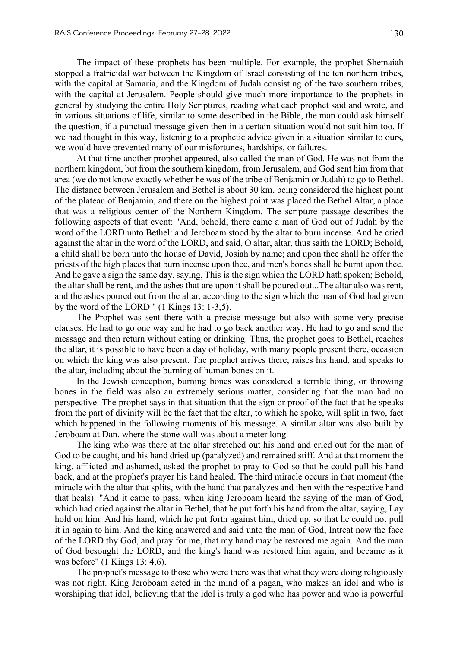The impact of these prophets has been multiple. For example, the prophet Shemaiah stopped a fratricidal war between the Kingdom of Israel consisting of the ten northern tribes, with the capital at Samaria, and the Kingdom of Judah consisting of the two southern tribes, with the capital at Jerusalem. People should give much more importance to the prophets in general by studying the entire Holy Scriptures, reading what each prophet said and wrote, and in various situations of life, similar to some described in the Bible, the man could ask himself the question, if a punctual message given then in a certain situation would not suit him too. If we had thought in this way, listening to a prophetic advice given in a situation similar to ours, we would have prevented many of our misfortunes, hardships, or failures.

At that time another prophet appeared, also called the man of God. He was not from the northern kingdom, but from the southern kingdom, from Jerusalem, and God sent him from that area (we do not know exactly whether he was of the tribe of Benjamin or Judah) to go to Bethel. The distance between Jerusalem and Bethel is about 30 km, being considered the highest point of the plateau of Benjamin, and there on the highest point was placed the Bethel Altar, a place that was a religious center of the Northern Kingdom. The scripture passage describes the following aspects of that event: "And, behold, there came a man of God out of Judah by the word of the LORD unto Bethel: and Jeroboam stood by the altar to burn incense. And he cried against the altar in the word of the LORD, and said, O altar, altar, thus saith the LORD; Behold, a child shall be born unto the house of David, Josiah by name; and upon thee shall he offer the priests of the high places that burn incense upon thee, and men's bones shall be burnt upon thee. And he gave a sign the same day, saying, This is the sign which the LORD hath spoken; Behold, the altar shall be rent, and the ashes that are upon it shall be poured out...The altar also was rent, and the ashes poured out from the altar, according to the sign which the man of God had given by the word of the LORD " (1 Kings 13: 1-3,5).

The Prophet was sent there with a precise message but also with some very precise clauses. He had to go one way and he had to go back another way. He had to go and send the message and then return without eating or drinking. Thus, the prophet goes to Bethel, reaches the altar, it is possible to have been a day of holiday, with many people present there, occasion on which the king was also present. The prophet arrives there, raises his hand, and speaks to the altar, including about the burning of human bones on it.

In the Jewish conception, burning bones was considered a terrible thing, or throwing bones in the field was also an extremely serious matter, considering that the man had no perspective. The prophet says in that situation that the sign or proof of the fact that he speaks from the part of divinity will be the fact that the altar, to which he spoke, will split in two, fact which happened in the following moments of his message. A similar altar was also built by Jeroboam at Dan, where the stone wall was about a meter long.

The king who was there at the altar stretched out his hand and cried out for the man of God to be caught, and his hand dried up (paralyzed) and remained stiff. And at that moment the king, afflicted and ashamed, asked the prophet to pray to God so that he could pull his hand back, and at the prophet's prayer his hand healed. The third miracle occurs in that moment (the miracle with the altar that splits, with the hand that paralyzes and then with the respective hand that heals): "And it came to pass, when king Jeroboam heard the saying of the man of God, which had cried against the altar in Bethel, that he put forth his hand from the altar, saying, Lay hold on him. And his hand, which he put forth against him, dried up, so that he could not pull it in again to him. And the king answered and said unto the man of God, Intreat now the face of the LORD thy God, and pray for me, that my hand may be restored me again. And the man of God besought the LORD, and the king's hand was restored him again, and became as it was before" (1 Kings 13: 4,6).

The prophet's message to those who were there was that what they were doing religiously was not right. King Jeroboam acted in the mind of a pagan, who makes an idol and who is worshiping that idol, believing that the idol is truly a god who has power and who is powerful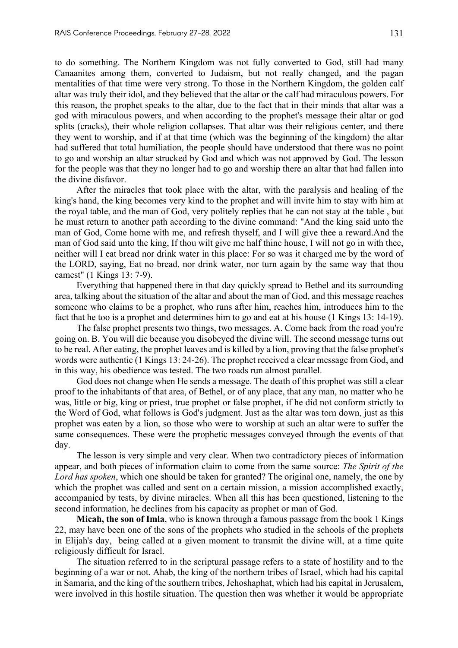to do something. The Northern Kingdom was not fully converted to God, still had many Canaanites among them, converted to Judaism, but not really changed, and the pagan mentalities of that time were very strong. To those in the Northern Kingdom, the golden calf altar was truly their idol, and they believed that the altar or the calf had miraculous powers. For this reason, the prophet speaks to the altar, due to the fact that in their minds that altar was a god with miraculous powers, and when according to the prophet's message their altar or god splits (cracks), their whole religion collapses. That altar was their religious center, and there they went to worship, and if at that time (which was the beginning of the kingdom) the altar had suffered that total humiliation, the people should have understood that there was no point to go and worship an altar strucked by God and which was not approved by God. The lesson for the people was that they no longer had to go and worship there an altar that had fallen into the divine disfavor.

After the miracles that took place with the altar, with the paralysis and healing of the king's hand, the king becomes very kind to the prophet and will invite him to stay with him at the royal table, and the man of God, very politely replies that he can not stay at the table , but he must return to another path according to the divine command: "And the king said unto the man of God, Come home with me, and refresh thyself, and I will give thee a reward.And the man of God said unto the king, If thou wilt give me half thine house, I will not go in with thee, neither will I eat bread nor drink water in this place: For so was it charged me by the word of the LORD, saying, Eat no bread, nor drink water, nor turn again by the same way that thou camest" (1 Kings 13: 7-9).

Everything that happened there in that day quickly spread to Bethel and its surrounding area, talking about the situation of the altar and about the man of God, and this message reaches someone who claims to be a prophet, who runs after him, reaches him, introduces him to the fact that he too is a prophet and determines him to go and eat at his house (1 Kings 13: 14-19).

The false prophet presents two things, two messages. A. Come back from the road you're going on. B. You will die because you disobeyed the divine will. The second message turns out to be real. After eating, the prophet leaves and is killed by a lion, proving that the false prophet's words were authentic (1 Kings 13: 24-26). The prophet received a clear message from God, and in this way, his obedience was tested. The two roads run almost parallel.

God does not change when He sends a message. The death of this prophet was still a clear proof to the inhabitants of that area, of Bethel, or of any place, that any man, no matter who he was, little or big, king or priest, true prophet or false prophet, if he did not conform strictly to the Word of God, what follows is God's judgment. Just as the altar was torn down, just as this prophet was eaten by a lion, so those who were to worship at such an altar were to suffer the same consequences. These were the prophetic messages conveyed through the events of that day.

The lesson is very simple and very clear. When two contradictory pieces of information appear, and both pieces of information claim to come from the same source: *The Spirit of the Lord has spoken*, which one should be taken for granted? The original one, namely, the one by which the prophet was called and sent on a certain mission, a mission accomplished exactly, accompanied by tests, by divine miracles. When all this has been questioned, listening to the second information, he declines from his capacity as prophet or man of God.

**Micah, the son of Imla**, who is known through a famous passage from the book 1 Kings 22, may have been one of the sons of the prophets who studied in the schools of the prophets in Elijah's day, being called at a given moment to transmit the divine will, at a time quite religiously difficult for Israel.

The situation referred to in the scriptural passage refers to a state of hostility and to the beginning of a war or not. Ahab, the king of the northern tribes of Israel, which had his capital in Samaria, and the king of the southern tribes, Jehoshaphat, which had his capital in Jerusalem, were involved in this hostile situation. The question then was whether it would be appropriate